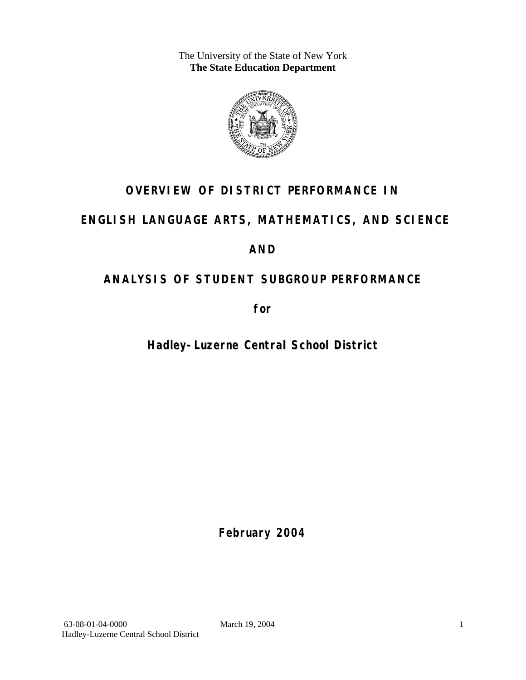The University of the State of New York **The State Education Department** 



# **OVERVIEW OF DISTRICT PERFORMANCE IN**

# **ENGLISH LANGUAGE ARTS, MATHEMATICS, AND SCIENCE**

# **AND**

# **ANALYSIS OF STUDENT SUBGROUP PERFORMANCE**

**for** 

**Hadley-Luzerne Central School District**

**February 2004**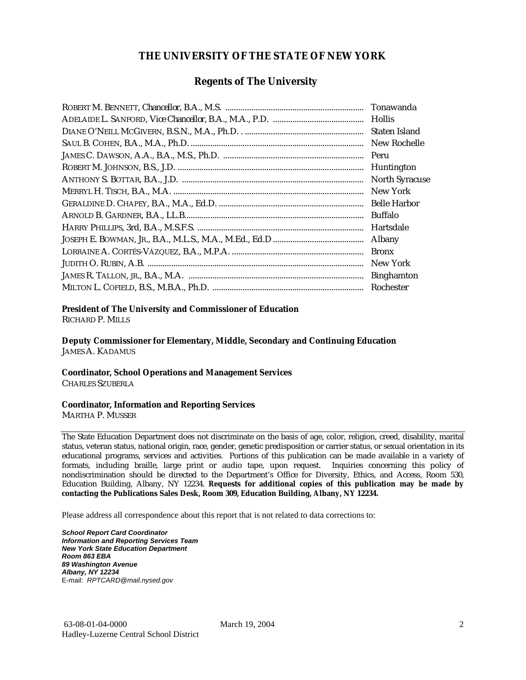### **THE UNIVERSITY OF THE STATE OF NEW YORK**

### **Regents of The University**

| Tonawanda             |
|-----------------------|
| <b>Hollis</b>         |
| Staten Island         |
| New Rochelle          |
| Peru                  |
| Huntington            |
| <b>North Syracuse</b> |
| New York              |
| <b>Belle Harbor</b>   |
| <b>Buffalo</b>        |
| Hartsdale             |
| Albany                |
| <b>Bronx</b>          |
| New York              |
| <b>Binghamton</b>     |
| Rochester             |

#### **President of The University and Commissioner of Education**

RICHARD P. MILLS

**Deputy Commissioner for Elementary, Middle, Secondary and Continuing Education**  JAMES A. KADAMUS

#### **Coordinator, School Operations and Management Services**

CHARLES SZUBERLA

#### **Coordinator, Information and Reporting Services**

MARTHA P. MUSSER

The State Education Department does not discriminate on the basis of age, color, religion, creed, disability, marital status, veteran status, national origin, race, gender, genetic predisposition or carrier status, or sexual orientation in its educational programs, services and activities. Portions of this publication can be made available in a variety of formats, including braille, large print or audio tape, upon request. Inquiries concerning this policy of nondiscrimination should be directed to the Department's Office for Diversity, Ethics, and Access, Room 530, Education Building, Albany, NY 12234. **Requests for additional copies of this publication may be made by contacting the Publications Sales Desk, Room 309, Education Building, Albany, NY 12234.** 

Please address all correspondence about this report that is not related to data corrections to:

*School Report Card Coordinator Information and Reporting Services Team New York State Education Department Room 863 EBA 89 Washington Avenue Albany, NY 12234*  E-mail: *RPTCARD@mail.nysed.gov*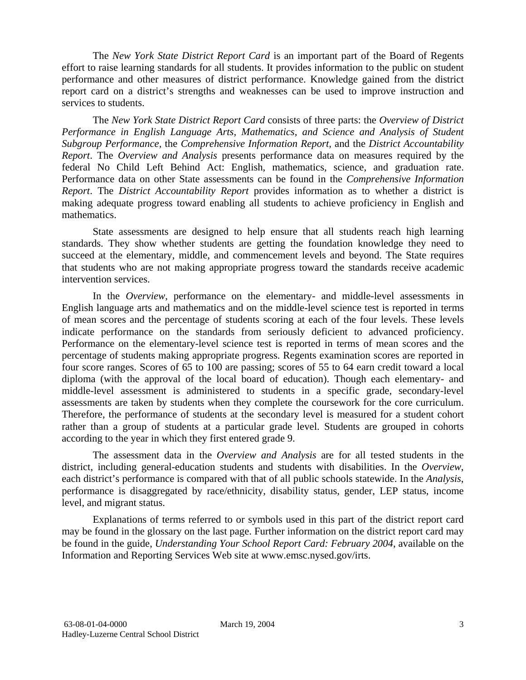The *New York State District Report Card* is an important part of the Board of Regents effort to raise learning standards for all students. It provides information to the public on student performance and other measures of district performance. Knowledge gained from the district report card on a district's strengths and weaknesses can be used to improve instruction and services to students.

The *New York State District Report Card* consists of three parts: the *Overview of District Performance in English Language Arts, Mathematics, and Science and Analysis of Student Subgroup Performance,* the *Comprehensive Information Report,* and the *District Accountability Report*. The *Overview and Analysis* presents performance data on measures required by the federal No Child Left Behind Act: English, mathematics, science, and graduation rate. Performance data on other State assessments can be found in the *Comprehensive Information Report*. The *District Accountability Report* provides information as to whether a district is making adequate progress toward enabling all students to achieve proficiency in English and mathematics.

State assessments are designed to help ensure that all students reach high learning standards. They show whether students are getting the foundation knowledge they need to succeed at the elementary, middle, and commencement levels and beyond. The State requires that students who are not making appropriate progress toward the standards receive academic intervention services.

In the *Overview*, performance on the elementary- and middle-level assessments in English language arts and mathematics and on the middle-level science test is reported in terms of mean scores and the percentage of students scoring at each of the four levels. These levels indicate performance on the standards from seriously deficient to advanced proficiency. Performance on the elementary-level science test is reported in terms of mean scores and the percentage of students making appropriate progress. Regents examination scores are reported in four score ranges. Scores of 65 to 100 are passing; scores of 55 to 64 earn credit toward a local diploma (with the approval of the local board of education). Though each elementary- and middle-level assessment is administered to students in a specific grade, secondary-level assessments are taken by students when they complete the coursework for the core curriculum. Therefore, the performance of students at the secondary level is measured for a student cohort rather than a group of students at a particular grade level. Students are grouped in cohorts according to the year in which they first entered grade 9.

The assessment data in the *Overview and Analysis* are for all tested students in the district, including general-education students and students with disabilities. In the *Overview*, each district's performance is compared with that of all public schools statewide. In the *Analysis*, performance is disaggregated by race/ethnicity, disability status, gender, LEP status, income level, and migrant status.

Explanations of terms referred to or symbols used in this part of the district report card may be found in the glossary on the last page. Further information on the district report card may be found in the guide, *Understanding Your School Report Card: February 2004*, available on the Information and Reporting Services Web site at www.emsc.nysed.gov/irts.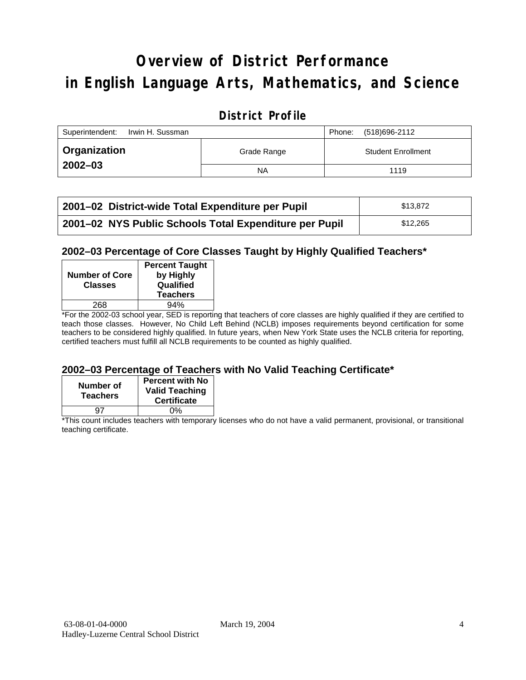# **Overview of District Performance in English Language Arts, Mathematics, and Science**

### **District Profile**

| Superintendent:<br>Irwin H. Sussman |             | Phone: | (518)696-2112             |
|-------------------------------------|-------------|--------|---------------------------|
| ∣ Organization                      | Grade Range |        | <b>Student Enrollment</b> |
| $2002 - 03$                         | <b>NA</b>   |        | 1119                      |

| 2001-02 District-wide Total Expenditure per Pupil      | \$13,872 |
|--------------------------------------------------------|----------|
| 2001-02 NYS Public Schools Total Expenditure per Pupil | \$12.265 |

### **2002–03 Percentage of Core Classes Taught by Highly Qualified Teachers\***

| <b>Number of Core</b><br><b>Classes</b> | <b>Percent Taught</b><br>by Highly<br>Qualified<br><b>Teachers</b> |
|-----------------------------------------|--------------------------------------------------------------------|
| 268                                     | 94%                                                                |
| . .<br>- -                              |                                                                    |

\*For the 2002-03 school year, SED is reporting that teachers of core classes are highly qualified if they are certified to teach those classes. However, No Child Left Behind (NCLB) imposes requirements beyond certification for some teachers to be considered highly qualified. In future years, when New York State uses the NCLB criteria for reporting, certified teachers must fulfill all NCLB requirements to be counted as highly qualified.

### **2002–03 Percentage of Teachers with No Valid Teaching Certificate\***

| Number of<br><b>Teachers</b> | <b>Percent with No</b><br><b>Valid Teaching</b><br><b>Certificate</b> |
|------------------------------|-----------------------------------------------------------------------|
| u7                           | ሰ%                                                                    |

\*This count includes teachers with temporary licenses who do not have a valid permanent, provisional, or transitional teaching certificate.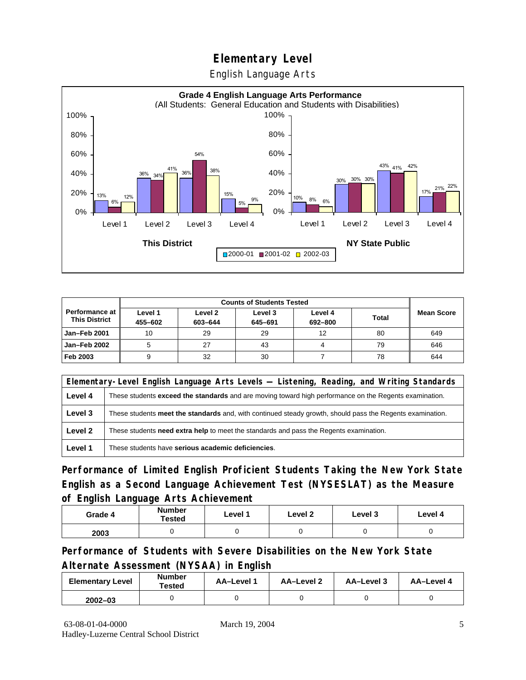English Language Arts



| <b>Counts of Students Tested</b>       |                    |                    |                    |                    |              |                   |
|----------------------------------------|--------------------|--------------------|--------------------|--------------------|--------------|-------------------|
| Performance at<br><b>This District</b> | Level 1<br>455-602 | Level 2<br>603-644 | Level 3<br>645-691 | Level 4<br>692-800 | <b>Total</b> | <b>Mean Score</b> |
| Jan-Feb 2001                           | 10                 | 29                 | 29                 | 12                 | 80           | 649               |
| Jan-Feb 2002                           |                    | 27                 | 43                 |                    | 79           | 646               |
| Feb 2003                               | 9                  | 32                 | 30                 |                    | 78           | 644               |

|         | Elementary-Level English Language Arts Levels — Listening, Reading, and Writing Standards                 |  |  |  |  |  |
|---------|-----------------------------------------------------------------------------------------------------------|--|--|--|--|--|
| Level 4 | These students exceed the standards and are moving toward high performance on the Regents examination.    |  |  |  |  |  |
| Level 3 | These students meet the standards and, with continued steady growth, should pass the Regents examination. |  |  |  |  |  |
| Level 2 | These students <b>need extra help</b> to meet the standards and pass the Regents examination.             |  |  |  |  |  |
| Level 1 | These students have serious academic deficiencies.                                                        |  |  |  |  |  |

**Performance of Limited English Proficient Students Taking the New York State English as a Second Language Achievement Test (NYSESLAT) as the Measure of English Language Arts Achievement**

| Grade 4 | <b>Number</b><br>Tested | Level 1 | Level 2 | Level 3 | Level 4 |
|---------|-------------------------|---------|---------|---------|---------|
| 2003    |                         |         |         |         |         |

**Performance of Students with Severe Disabilities on the New York State Alternate Assessment (NYSAA) in English** 

| <b>Elementary Level</b> | <b>Number</b><br>Tested | AA-Level | AA-Level 2 | AA-Level 3 | AA-Level 4 |
|-------------------------|-------------------------|----------|------------|------------|------------|
| $2002 - 03$             |                         |          |            |            |            |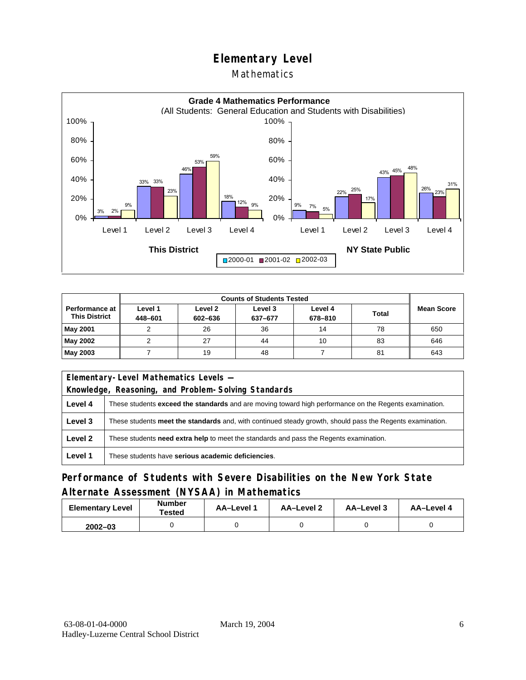### **Mathematics**



| <b>Counts of Students Tested</b>         |                    |                    |                    |                    |              |                   |
|------------------------------------------|--------------------|--------------------|--------------------|--------------------|--------------|-------------------|
| Performance at I<br><b>This District</b> | Level 1<br>448-601 | Level 2<br>602-636 | Level 3<br>637-677 | Level 4<br>678-810 | <b>Total</b> | <b>Mean Score</b> |
| May 2001                                 |                    | 26                 | 36                 | 14                 | 78           | 650               |
| May 2002                                 |                    | 27                 | 44                 | 10                 | 83           | 646               |
| May 2003                                 |                    | 19                 | 48                 |                    | 81           | 643               |

| Elementary-Level Mathematics Levels - |                                                                                                               |  |  |  |
|---------------------------------------|---------------------------------------------------------------------------------------------------------------|--|--|--|
|                                       | Knowledge, Reasoning, and Problem-Solving Standards                                                           |  |  |  |
| Level 4                               | These students <b>exceed the standards</b> and are moving toward high performance on the Regents examination. |  |  |  |
| Level 3                               | These students meet the standards and, with continued steady growth, should pass the Regents examination.     |  |  |  |
| Level 2                               | These students need extra help to meet the standards and pass the Regents examination.                        |  |  |  |
| Level 1                               | These students have serious academic deficiencies.                                                            |  |  |  |

### **Performance of Students with Severe Disabilities on the New York State Alternate Assessment (NYSAA) in Mathematics**

| <b>Elementary Level</b> | <b>Number</b><br>Tested | <b>AA-Level 1</b> | AA-Level 2 | AA-Level 3 | AA-Level 4 |
|-------------------------|-------------------------|-------------------|------------|------------|------------|
| $2002 - 03$             |                         |                   |            |            |            |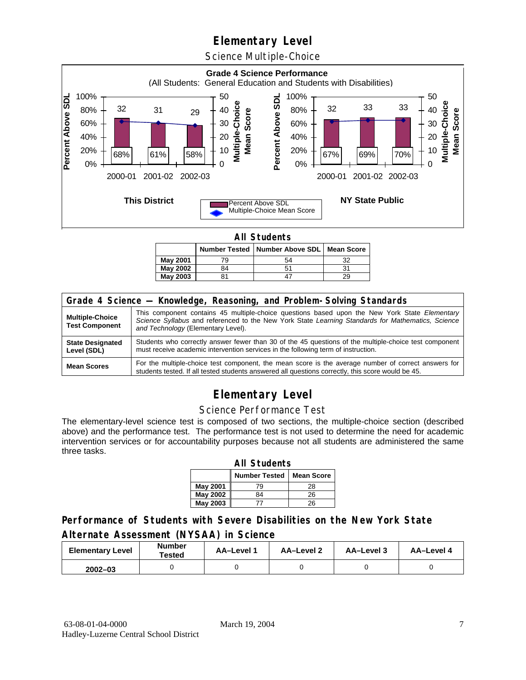Science Multiple-Choice



**All Students** 

|          |    | Number Tested   Number Above SDL   Mean Score |    |
|----------|----|-----------------------------------------------|----|
| May 2001 | 79 | 54                                            | 32 |
| May 2002 | 84 | 5 <sup>1</sup>                                | 31 |
| May 2003 | 81 |                                               | 29 |

| Grade 4 Science - Knowledge, Reasoning, and Problem-Solving Standards |                                                                                                                                                                                                                                          |  |  |  |  |
|-----------------------------------------------------------------------|------------------------------------------------------------------------------------------------------------------------------------------------------------------------------------------------------------------------------------------|--|--|--|--|
| <b>Multiple-Choice</b><br><b>Test Component</b>                       | This component contains 45 multiple-choice questions based upon the New York State Elementary<br>Science Syllabus and referenced to the New York State Learning Standards for Mathematics, Science<br>and Technology (Elementary Level). |  |  |  |  |
| <b>State Designated</b><br>Level (SDL)                                | Students who correctly answer fewer than 30 of the 45 questions of the multiple-choice test component<br>must receive academic intervention services in the following term of instruction.                                               |  |  |  |  |
| <b>Mean Scores</b>                                                    | For the multiple-choice test component, the mean score is the average number of correct answers for<br>students tested. If all tested students answered all questions correctly, this score would be 45.                                 |  |  |  |  |

# **Elementary Level**

#### Science Performance Test

The elementary-level science test is composed of two sections, the multiple-choice section (described above) and the performance test. The performance test is not used to determine the need for academic intervention services or for accountability purposes because not all students are administered the same three tasks.

| <b>All Students</b>                       |    |    |  |  |  |  |  |
|-------------------------------------------|----|----|--|--|--|--|--|
| <b>Number Tested</b><br><b>Mean Score</b> |    |    |  |  |  |  |  |
| May 2001                                  | 79 | 28 |  |  |  |  |  |
| <b>May 2002</b>                           | 84 | 26 |  |  |  |  |  |
| May 2003                                  |    | 26 |  |  |  |  |  |

### **Performance of Students with Severe Disabilities on the New York State Alternate Assessment (NYSAA) in Science**

| <b>Elementary Level</b> | <b>Number</b><br>Tested | AA-Level | AA-Level 2 | AA-Level 3 | AA-Level 4 |
|-------------------------|-------------------------|----------|------------|------------|------------|
| $2002 - 03$             |                         |          |            |            |            |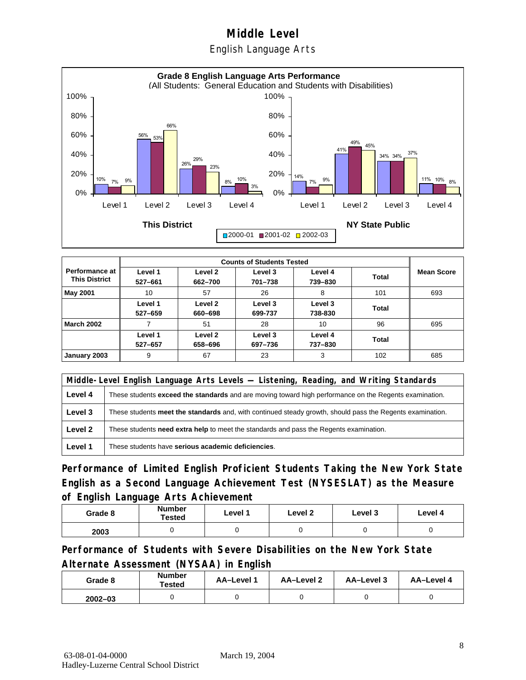English Language Arts



|                                        |                    |                    | <b>Counts of Students Tested</b> |                    |       |                   |
|----------------------------------------|--------------------|--------------------|----------------------------------|--------------------|-------|-------------------|
| Performance at<br><b>This District</b> | Level 1<br>527-661 | Level 2<br>662-700 | Level 3<br>701-738               | Level 4<br>739-830 | Total | <b>Mean Score</b> |
| <b>May 2001</b>                        | 10                 | 57                 | 26                               | 8                  | 101   | 693               |
|                                        | Level 1<br>527-659 | Level 2<br>660-698 | Level 3<br>699-737               | Level 3<br>738-830 | Total |                   |
| <b>March 2002</b>                      |                    | 51                 | 28                               | 10                 | 96    | 695               |
|                                        | Level 1<br>527-657 | Level 2<br>658-696 | Level 3<br>697-736               | Level 4<br>737-830 | Total |                   |
| January 2003                           | 9                  | 67                 | 23                               | 3                  | 102   | 685               |

|         | Middle-Level English Language Arts Levels — Listening, Reading, and Writing Standards                         |  |  |  |  |
|---------|---------------------------------------------------------------------------------------------------------------|--|--|--|--|
| Level 4 | These students <b>exceed the standards</b> and are moving toward high performance on the Regents examination. |  |  |  |  |
| Level 3 | These students meet the standards and, with continued steady growth, should pass the Regents examination.     |  |  |  |  |
| Level 2 | These students need extra help to meet the standards and pass the Regents examination.                        |  |  |  |  |
| Level 1 | These students have serious academic deficiencies.                                                            |  |  |  |  |

**Performance of Limited English Proficient Students Taking the New York State English as a Second Language Achievement Test (NYSESLAT) as the Measure of English Language Arts Achievement**

| Grade 8 | Number<br>Tested | Level 1 | Level 2 | Level 3 | Level 4 |
|---------|------------------|---------|---------|---------|---------|
| 2003    |                  |         |         |         |         |

**Performance of Students with Severe Disabilities on the New York State Alternate Assessment (NYSAA) in English** 

| Grade 8     | <b>Number</b><br>Tested | AA-Level 1 | AA-Level 2 | AA-Level 3 | AA-Level 4 |
|-------------|-------------------------|------------|------------|------------|------------|
| $2002 - 03$ |                         |            |            |            |            |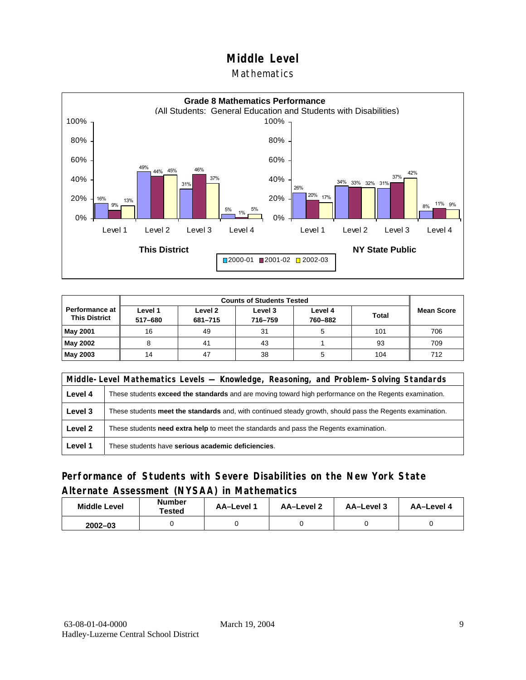### Mathematics



| <b>Performance at</b><br><b>This District</b> | Level 1<br>517-680 | Level 2<br>681-715 | Level 3<br>716-759 | Level 4<br>760-882 | <b>Total</b> | <b>Mean Score</b> |
|-----------------------------------------------|--------------------|--------------------|--------------------|--------------------|--------------|-------------------|
| <b>May 2001</b>                               | 16                 | 49                 | 31                 |                    | 101          | 706               |
| May 2002                                      |                    | 41                 | 43                 |                    | 93           | 709               |
| <b>May 2003</b>                               | 14                 | 47                 | 38                 |                    | 104          | 712               |

|         | Middle-Level Mathematics Levels — Knowledge, Reasoning, and Problem-Solving Standards                         |  |  |  |  |
|---------|---------------------------------------------------------------------------------------------------------------|--|--|--|--|
| Level 4 | These students <b>exceed the standards</b> and are moving toward high performance on the Regents examination. |  |  |  |  |
| Level 3 | These students meet the standards and, with continued steady growth, should pass the Regents examination.     |  |  |  |  |
| Level 2 | These students <b>need extra help</b> to meet the standards and pass the Regents examination.                 |  |  |  |  |
| Level 1 | These students have serious academic deficiencies.                                                            |  |  |  |  |

### **Performance of Students with Severe Disabilities on the New York State Alternate Assessment (NYSAA) in Mathematics**

| <b>Middle Level</b> | <b>Number</b><br>Tested | <b>AA-Level</b> | AA-Level 2 | AA-Level 3 | AA-Level 4 |
|---------------------|-------------------------|-----------------|------------|------------|------------|
| $2002 - 03$         |                         |                 |            |            |            |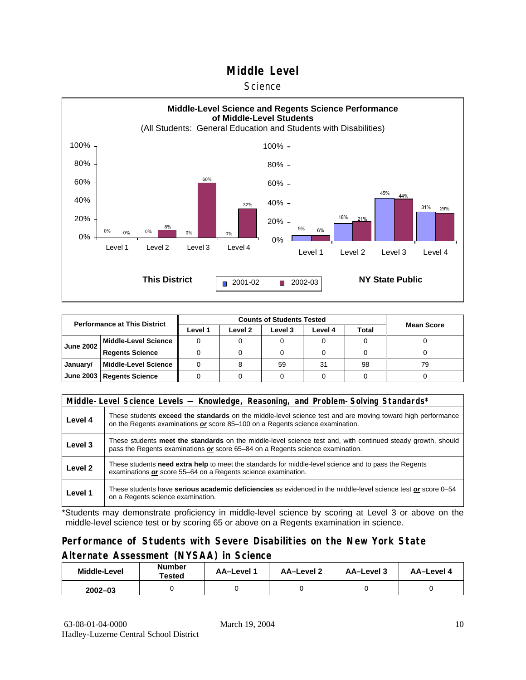#### **Science**



| <b>Performance at This District</b> |                             |         | <b>Mean Score</b> |         |         |       |    |
|-------------------------------------|-----------------------------|---------|-------------------|---------|---------|-------|----|
|                                     |                             | Level 1 | Level 2           | Level 3 | Level 4 | Total |    |
| <b>June 2002</b>                    | <b>Middle-Level Science</b> |         |                   |         |         |       |    |
|                                     | <b>Regents Science</b>      |         |                   |         |         |       |    |
| January/                            | <b>Middle-Level Science</b> |         |                   | 59      | 31      | 98    | 79 |
|                                     | June 2003   Regents Science |         |                   |         |         |       |    |

|         | Middle-Level Science Levels - Knowledge, Reasoning, and Problem-Solving Standards*                                                                                                             |
|---------|------------------------------------------------------------------------------------------------------------------------------------------------------------------------------------------------|
| Level 4 | These students exceed the standards on the middle-level science test and are moving toward high performance<br>on the Regents examinations or score 85-100 on a Regents science examination.   |
| Level 3 | These students meet the standards on the middle-level science test and, with continued steady growth, should<br>pass the Regents examinations or score 65-84 on a Regents science examination. |
| Level 2 | These students need extra help to meet the standards for middle-level science and to pass the Regents<br>examinations or score 55-64 on a Regents science examination.                         |
| Level 1 | These students have serious academic deficiencies as evidenced in the middle-level science test or score 0–54<br>on a Regents science examination.                                             |

\*Students may demonstrate proficiency in middle-level science by scoring at Level 3 or above on the middle-level science test or by scoring 65 or above on a Regents examination in science.

### **Performance of Students with Severe Disabilities on the New York State Alternate Assessment (NYSAA) in Science**

| Middle-Level | Number<br>Tested | <b>AA-Level 1</b> | AA-Level 2 | AA-Level 3 | AA-Level 4 |  |
|--------------|------------------|-------------------|------------|------------|------------|--|
| $2002 - 03$  |                  |                   |            |            |            |  |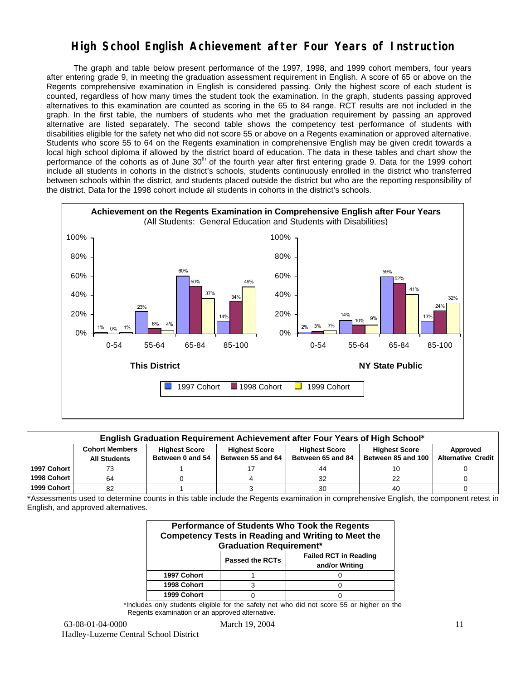## **High School English Achievement after Four Years of Instruction**

 The graph and table below present performance of the 1997, 1998, and 1999 cohort members, four years after entering grade 9, in meeting the graduation assessment requirement in English. A score of 65 or above on the Regents comprehensive examination in English is considered passing. Only the highest score of each student is counted, regardless of how many times the student took the examination. In the graph, students passing approved alternatives to this examination are counted as scoring in the 65 to 84 range. RCT results are not included in the graph. In the first table, the numbers of students who met the graduation requirement by passing an approved alternative are listed separately. The second table shows the competency test performance of students with disabilities eligible for the safety net who did not score 55 or above on a Regents examination or approved alternative. Students who score 55 to 64 on the Regents examination in comprehensive English may be given credit towards a local high school diploma if allowed by the district board of education. The data in these tables and chart show the performance of the cohorts as of June  $30<sup>th</sup>$  of the fourth year after first entering grade 9. Data for the 1999 cohort include all students in cohorts in the district's schools, students continuously enrolled in the district who transferred between schools within the district, and students placed outside the district but who are the reporting responsibility of the district. Data for the 1998 cohort include all students in cohorts in the district's schools.



| English Graduation Requirement Achievement after Four Years of High School* |                                                                                                                                                                                                                                                                           |  |  |    |    |  |  |  |  |  |  |
|-----------------------------------------------------------------------------|---------------------------------------------------------------------------------------------------------------------------------------------------------------------------------------------------------------------------------------------------------------------------|--|--|----|----|--|--|--|--|--|--|
|                                                                             | <b>Cohort Members</b><br><b>Highest Score</b><br><b>Highest Score</b><br><b>Highest Score</b><br><b>Highest Score</b><br>Approved<br>Between 55 and 64<br><b>Alternative Credit</b><br>Between 85 and 100<br>Between 0 and 54<br>Between 65 and 84<br><b>All Students</b> |  |  |    |    |  |  |  |  |  |  |
| 1997 Cohort                                                                 | 73                                                                                                                                                                                                                                                                        |  |  | 44 |    |  |  |  |  |  |  |
| 1998 Cohort                                                                 | 64                                                                                                                                                                                                                                                                        |  |  | 32 | 22 |  |  |  |  |  |  |
| 1999 Cohort                                                                 | 82                                                                                                                                                                                                                                                                        |  |  | 30 | 40 |  |  |  |  |  |  |

\*Assessments used to determine counts in this table include the Regents examination in comprehensive English, the component retest in English, and approved alternatives.

| Performance of Students Who Took the Regents<br><b>Competency Tests in Reading and Writing to Meet the</b><br><b>Graduation Requirement*</b> |   |  |  |  |  |  |  |  |
|----------------------------------------------------------------------------------------------------------------------------------------------|---|--|--|--|--|--|--|--|
| <b>Failed RCT in Reading</b><br><b>Passed the RCTs</b><br>and/or Writing                                                                     |   |  |  |  |  |  |  |  |
| 1997 Cohort                                                                                                                                  |   |  |  |  |  |  |  |  |
| 1998 Cohort                                                                                                                                  | з |  |  |  |  |  |  |  |
| 1999 Cohort                                                                                                                                  |   |  |  |  |  |  |  |  |

\*Includes only students eligible for the safety net who did not score 55 or higher on the Regents examination or an approved alternative.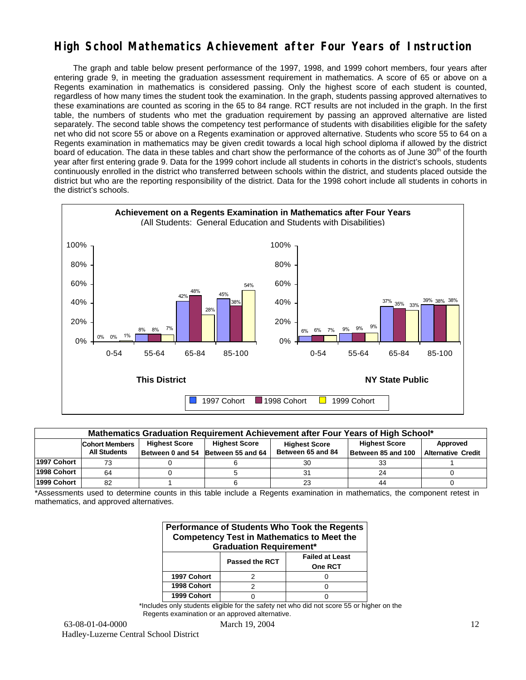## **High School Mathematics Achievement after Four Years of Instruction**

 The graph and table below present performance of the 1997, 1998, and 1999 cohort members, four years after entering grade 9, in meeting the graduation assessment requirement in mathematics. A score of 65 or above on a Regents examination in mathematics is considered passing. Only the highest score of each student is counted, regardless of how many times the student took the examination. In the graph, students passing approved alternatives to these examinations are counted as scoring in the 65 to 84 range. RCT results are not included in the graph. In the first table, the numbers of students who met the graduation requirement by passing an approved alternative are listed separately. The second table shows the competency test performance of students with disabilities eligible for the safety net who did not score 55 or above on a Regents examination or approved alternative. Students who score 55 to 64 on a Regents examination in mathematics may be given credit towards a local high school diploma if allowed by the district board of education. The data in these tables and chart show the performance of the cohorts as of June 30<sup>th</sup> of the fourth year after first entering grade 9. Data for the 1999 cohort include all students in cohorts in the district's schools, students continuously enrolled in the district who transferred between schools within the district, and students placed outside the district but who are the reporting responsibility of the district. Data for the 1998 cohort include all students in cohorts in the district's schools.



| Mathematics Graduation Requirement Achievement after Four Years of High School* |                                                                                                                                   |  |                                    |                   |                    |                           |  |  |  |  |  |
|---------------------------------------------------------------------------------|-----------------------------------------------------------------------------------------------------------------------------------|--|------------------------------------|-------------------|--------------------|---------------------------|--|--|--|--|--|
|                                                                                 | <b>Highest Score</b><br><b>Highest Score</b><br><b>Highest Score</b><br>Approved<br><b>Cohort Members</b><br><b>Highest Score</b> |  |                                    |                   |                    |                           |  |  |  |  |  |
|                                                                                 | <b>All Students</b>                                                                                                               |  | Between 0 and 54 Between 55 and 64 | Between 65 and 84 | Between 85 and 100 | <b>Alternative Credit</b> |  |  |  |  |  |
| 1997 Cohort                                                                     | 73                                                                                                                                |  |                                    | 30                |                    |                           |  |  |  |  |  |
| 1998 Cohort                                                                     | 64                                                                                                                                |  |                                    |                   | 24                 |                           |  |  |  |  |  |
| 1999 Cohort                                                                     | 82                                                                                                                                |  |                                    | 23                | 44                 |                           |  |  |  |  |  |

\*Assessments used to determine counts in this table include a Regents examination in mathematics, the component retest in mathematics, and approved alternatives.

| Performance of Students Who Took the Regents<br><b>Competency Test in Mathematics to Meet the</b><br><b>Graduation Requirement*</b> |  |  |  |  |  |  |  |  |
|-------------------------------------------------------------------------------------------------------------------------------------|--|--|--|--|--|--|--|--|
| <b>Failed at Least</b><br><b>Passed the RCT</b><br>One RCT                                                                          |  |  |  |  |  |  |  |  |
| 1997 Cohort                                                                                                                         |  |  |  |  |  |  |  |  |
| 1998 Cohort                                                                                                                         |  |  |  |  |  |  |  |  |
| 1999 Cohort                                                                                                                         |  |  |  |  |  |  |  |  |

\*Includes only students eligible for the safety net who did not score 55 or higher on the Regents examination or an approved alternative.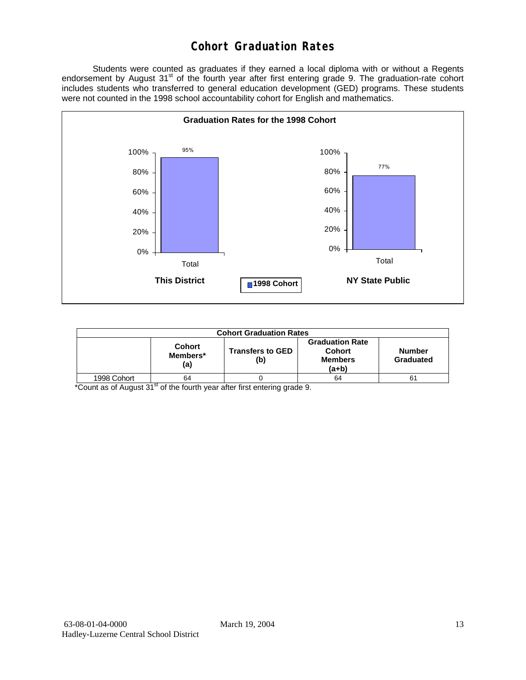# **Cohort Graduation Rates**

 Students were counted as graduates if they earned a local diploma with or without a Regents endorsement by August 31<sup>st</sup> of the fourth year after first entering grade 9. The graduation-rate cohort includes students who transferred to general education development (GED) programs. These students were not counted in the 1998 school accountability cohort for English and mathematics.



| <b>Cohort Graduation Rates</b> |                                  |                                |                                                             |                            |  |  |  |  |  |
|--------------------------------|----------------------------------|--------------------------------|-------------------------------------------------------------|----------------------------|--|--|--|--|--|
|                                | <b>Cohort</b><br>Members*<br>(a) | <b>Transfers to GED</b><br>(b) | <b>Graduation Rate</b><br>Cohort<br><b>Members</b><br>(a+b) | <b>Number</b><br>Graduated |  |  |  |  |  |
| 1998 Cohort                    | 64                               |                                | 64                                                          | 61                         |  |  |  |  |  |

\*Count as of August 31<sup>st</sup> of the fourth year after first entering grade 9.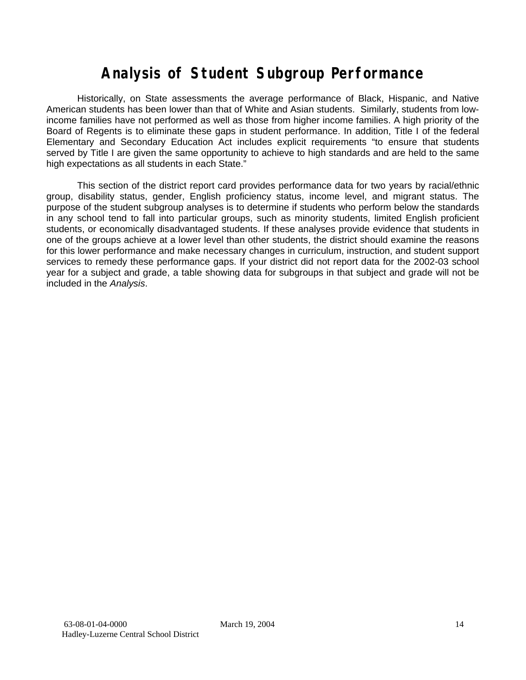# **Analysis of Student Subgroup Performance**

Historically, on State assessments the average performance of Black, Hispanic, and Native American students has been lower than that of White and Asian students. Similarly, students from lowincome families have not performed as well as those from higher income families. A high priority of the Board of Regents is to eliminate these gaps in student performance. In addition, Title I of the federal Elementary and Secondary Education Act includes explicit requirements "to ensure that students served by Title I are given the same opportunity to achieve to high standards and are held to the same high expectations as all students in each State."

This section of the district report card provides performance data for two years by racial/ethnic group, disability status, gender, English proficiency status, income level, and migrant status. The purpose of the student subgroup analyses is to determine if students who perform below the standards in any school tend to fall into particular groups, such as minority students, limited English proficient students, or economically disadvantaged students. If these analyses provide evidence that students in one of the groups achieve at a lower level than other students, the district should examine the reasons for this lower performance and make necessary changes in curriculum, instruction, and student support services to remedy these performance gaps. If your district did not report data for the 2002-03 school year for a subject and grade, a table showing data for subgroups in that subject and grade will not be included in the *Analysis*.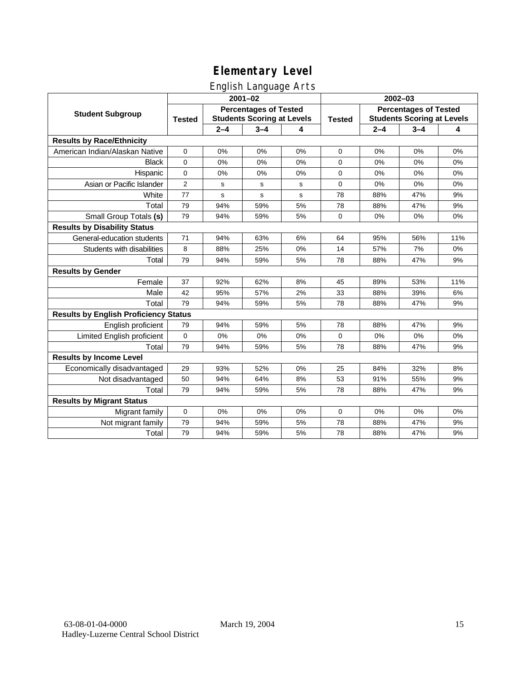English Language Arts

|                                              | $2001 - 02$                                                                        |         |         |               | 2002-03                                                           |         |         |     |
|----------------------------------------------|------------------------------------------------------------------------------------|---------|---------|---------------|-------------------------------------------------------------------|---------|---------|-----|
| <b>Student Subgroup</b>                      | <b>Percentages of Tested</b><br><b>Students Scoring at Levels</b><br><b>Tested</b> |         |         | <b>Tested</b> | <b>Percentages of Tested</b><br><b>Students Scoring at Levels</b> |         |         |     |
|                                              |                                                                                    | $2 - 4$ | $3 - 4$ | 4             |                                                                   | $2 - 4$ | $3 - 4$ | 4   |
| <b>Results by Race/Ethnicity</b>             |                                                                                    |         |         |               |                                                                   |         |         |     |
| American Indian/Alaskan Native               | $\mathbf{0}$                                                                       | 0%      | 0%      | 0%            | $\Omega$                                                          | 0%      | 0%      | 0%  |
| <b>Black</b>                                 | $\mathbf 0$                                                                        | 0%      | 0%      | 0%            | 0                                                                 | 0%      | 0%      | 0%  |
| Hispanic                                     | $\mathbf 0$                                                                        | 0%      | 0%      | 0%            | 0                                                                 | 0%      | 0%      | 0%  |
| Asian or Pacific Islander                    | $\overline{2}$                                                                     | s       | s       | s             | 0                                                                 | 0%      | 0%      | 0%  |
| White                                        | 77                                                                                 | s       | s       | s             | 78                                                                | 88%     | 47%     | 9%  |
| Total                                        | 79                                                                                 | 94%     | 59%     | 5%            | 78                                                                | 88%     | 47%     | 9%  |
| Small Group Totals (s)                       | 79                                                                                 | 94%     | 59%     | 5%            | $\Omega$                                                          | 0%      | 0%      | 0%  |
| <b>Results by Disability Status</b>          |                                                                                    |         |         |               |                                                                   |         |         |     |
| General-education students                   | 71                                                                                 | 94%     | 63%     | 6%            | 64                                                                | 95%     | 56%     | 11% |
| Students with disabilities                   | 8                                                                                  | 88%     | 25%     | 0%            | 14                                                                | 57%     | 7%      | 0%  |
| Total                                        | 79                                                                                 | 94%     | 59%     | 5%            | 78                                                                | 88%     | 47%     | 9%  |
| <b>Results by Gender</b>                     |                                                                                    |         |         |               |                                                                   |         |         |     |
| Female                                       | 37                                                                                 | 92%     | 62%     | 8%            | 45                                                                | 89%     | 53%     | 11% |
| Male                                         | 42                                                                                 | 95%     | 57%     | 2%            | 33                                                                | 88%     | 39%     | 6%  |
| Total                                        | 79                                                                                 | 94%     | 59%     | 5%            | 78                                                                | 88%     | 47%     | 9%  |
| <b>Results by English Proficiency Status</b> |                                                                                    |         |         |               |                                                                   |         |         |     |
| English proficient                           | 79                                                                                 | 94%     | 59%     | 5%            | 78                                                                | 88%     | 47%     | 9%  |
| Limited English proficient                   | $\mathbf 0$                                                                        | 0%      | 0%      | 0%            | $\overline{0}$                                                    | 0%      | 0%      | 0%  |
| Total                                        | 79                                                                                 | 94%     | 59%     | 5%            | 78                                                                | 88%     | 47%     | 9%  |
| <b>Results by Income Level</b>               |                                                                                    |         |         |               |                                                                   |         |         |     |
| Economically disadvantaged                   | 29                                                                                 | 93%     | 52%     | 0%            | 25                                                                | 84%     | 32%     | 8%  |
| Not disadvantaged                            | 50                                                                                 | 94%     | 64%     | 8%            | 53                                                                | 91%     | 55%     | 9%  |
| Total                                        | 79                                                                                 | 94%     | 59%     | 5%            | 78                                                                | 88%     | 47%     | 9%  |
| <b>Results by Migrant Status</b>             |                                                                                    |         |         |               |                                                                   |         |         |     |
| Migrant family                               | $\mathbf 0$                                                                        | 0%      | 0%      | 0%            | 0                                                                 | 0%      | 0%      | 0%  |
| Not migrant family                           | 79                                                                                 | 94%     | 59%     | 5%            | 78                                                                | 88%     | 47%     | 9%  |
| Total                                        | 79                                                                                 | 94%     | 59%     | 5%            | 78                                                                | 88%     | 47%     | 9%  |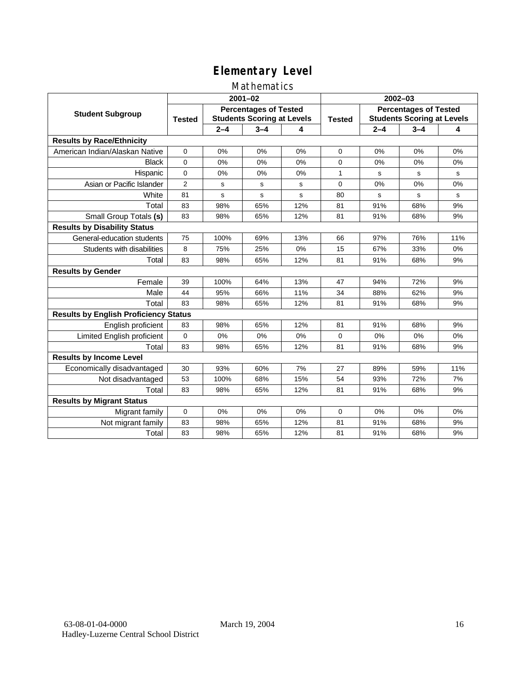### Mathematics

|                                              | $2001 - 02$                                                                        |         |         |               | $2002 - 03$                                                       |         |         |           |
|----------------------------------------------|------------------------------------------------------------------------------------|---------|---------|---------------|-------------------------------------------------------------------|---------|---------|-----------|
| <b>Student Subgroup</b>                      | <b>Percentages of Tested</b><br><b>Students Scoring at Levels</b><br><b>Tested</b> |         |         | <b>Tested</b> | <b>Percentages of Tested</b><br><b>Students Scoring at Levels</b> |         |         |           |
|                                              |                                                                                    | $2 - 4$ | $3 - 4$ | 4             |                                                                   | $2 - 4$ | $3 - 4$ | 4         |
| <b>Results by Race/Ethnicity</b>             |                                                                                    |         |         |               |                                                                   |         |         |           |
| American Indian/Alaskan Native               | $\mathbf{0}$                                                                       | 0%      | 0%      | 0%            | $\Omega$                                                          | 0%      | 0%      | 0%        |
| <b>Black</b>                                 | $\Omega$                                                                           | 0%      | 0%      | 0%            | $\Omega$                                                          | 0%      | 0%      | 0%        |
| Hispanic                                     | 0                                                                                  | 0%      | 0%      | 0%            | 1                                                                 | s       | s       | s         |
| Asian or Pacific Islander                    | $\overline{2}$                                                                     | s       | s       | s             | $\mathbf 0$                                                       | 0%      | 0%      | 0%        |
| White                                        | 81                                                                                 | s       | s       | s             | 80                                                                | s       | s       | ${\tt s}$ |
| Total                                        | 83                                                                                 | 98%     | 65%     | 12%           | 81                                                                | 91%     | 68%     | 9%        |
| Small Group Totals (s)                       | 83                                                                                 | 98%     | 65%     | 12%           | 81                                                                | 91%     | 68%     | 9%        |
| <b>Results by Disability Status</b>          |                                                                                    |         |         |               |                                                                   |         |         |           |
| General-education students                   | 75                                                                                 | 100%    | 69%     | 13%           | 66                                                                | 97%     | 76%     | 11%       |
| Students with disabilities                   | 8                                                                                  | 75%     | 25%     | 0%            | 15                                                                | 67%     | 33%     | 0%        |
| Total                                        | 83                                                                                 | 98%     | 65%     | 12%           | 81                                                                | 91%     | 68%     | 9%        |
| <b>Results by Gender</b>                     |                                                                                    |         |         |               |                                                                   |         |         |           |
| Female                                       | 39                                                                                 | 100%    | 64%     | 13%           | 47                                                                | 94%     | 72%     | 9%        |
| Male                                         | 44                                                                                 | 95%     | 66%     | 11%           | 34                                                                | 88%     | 62%     | 9%        |
| Total                                        | 83                                                                                 | 98%     | 65%     | 12%           | 81                                                                | 91%     | 68%     | 9%        |
| <b>Results by English Proficiency Status</b> |                                                                                    |         |         |               |                                                                   |         |         |           |
| English proficient                           | 83                                                                                 | 98%     | 65%     | 12%           | 81                                                                | 91%     | 68%     | 9%        |
| Limited English proficient                   | 0                                                                                  | 0%      | 0%      | 0%            | $\mathbf 0$                                                       | 0%      | 0%      | 0%        |
| Total                                        | 83                                                                                 | 98%     | 65%     | 12%           | 81                                                                | 91%     | 68%     | 9%        |
| <b>Results by Income Level</b>               |                                                                                    |         |         |               |                                                                   |         |         |           |
| Economically disadvantaged                   | 30                                                                                 | 93%     | 60%     | 7%            | 27                                                                | 89%     | 59%     | 11%       |
| Not disadvantaged                            | 53                                                                                 | 100%    | 68%     | 15%           | 54                                                                | 93%     | 72%     | 7%        |
| Total                                        | 83                                                                                 | 98%     | 65%     | 12%           | 81                                                                | 91%     | 68%     | 9%        |
| <b>Results by Migrant Status</b>             |                                                                                    |         |         |               |                                                                   |         |         |           |
| Migrant family                               | 0                                                                                  | 0%      | 0%      | 0%            | 0                                                                 | 0%      | 0%      | 0%        |
| Not migrant family                           | 83                                                                                 | 98%     | 65%     | 12%           | 81                                                                | 91%     | 68%     | 9%        |
| Total                                        | 83                                                                                 | 98%     | 65%     | 12%           | 81                                                                | 91%     | 68%     | 9%        |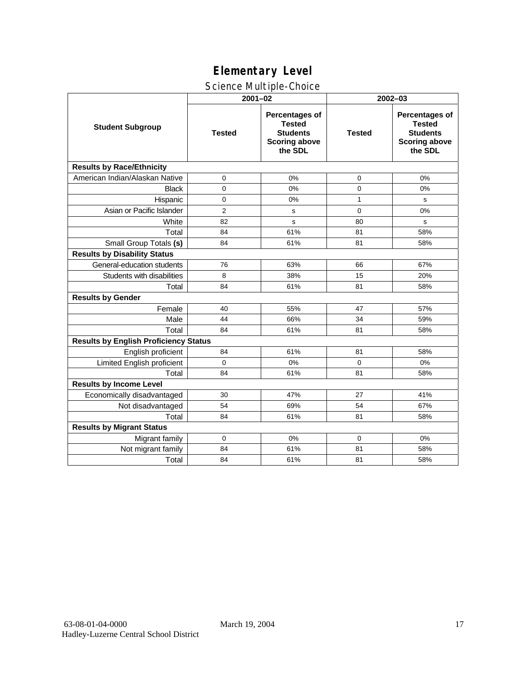### Science Multiple-Choice

|                                              | $2001 - 02$    |                                                                                       | 2002-03       |                                                                                              |  |  |
|----------------------------------------------|----------------|---------------------------------------------------------------------------------------|---------------|----------------------------------------------------------------------------------------------|--|--|
| <b>Student Subgroup</b>                      | <b>Tested</b>  | Percentages of<br><b>Tested</b><br><b>Students</b><br><b>Scoring above</b><br>the SDL | <b>Tested</b> | <b>Percentages of</b><br><b>Tested</b><br><b>Students</b><br><b>Scoring above</b><br>the SDL |  |  |
| <b>Results by Race/Ethnicity</b>             |                |                                                                                       |               |                                                                                              |  |  |
| American Indian/Alaskan Native               | 0              | 0%                                                                                    | 0             | 0%                                                                                           |  |  |
| <b>Black</b>                                 | $\mathbf 0$    | 0%                                                                                    | 0             | 0%                                                                                           |  |  |
| Hispanic                                     | 0              | 0%                                                                                    | 1             | s                                                                                            |  |  |
| Asian or Pacific Islander                    | $\overline{2}$ | s                                                                                     | 0             | 0%                                                                                           |  |  |
| White                                        | 82             | s                                                                                     | 80            | s                                                                                            |  |  |
| Total                                        | 84             | 61%                                                                                   | 81            | 58%                                                                                          |  |  |
| Small Group Totals (s)                       | 84             | 61%                                                                                   | 81            | 58%                                                                                          |  |  |
| <b>Results by Disability Status</b>          |                |                                                                                       |               |                                                                                              |  |  |
| General-education students                   | 76             | 63%                                                                                   | 66            | 67%                                                                                          |  |  |
| Students with disabilities                   | 8              | 38%                                                                                   | 15            | 20%                                                                                          |  |  |
| Total                                        | 84             | 61%                                                                                   | 81            | 58%                                                                                          |  |  |
| <b>Results by Gender</b>                     |                |                                                                                       |               |                                                                                              |  |  |
| Female                                       | 40             | 55%                                                                                   | 47            | 57%                                                                                          |  |  |
| Male                                         | 44             | 66%                                                                                   | 34            | 59%                                                                                          |  |  |
| Total                                        | 84             | 61%                                                                                   | 81            | 58%                                                                                          |  |  |
| <b>Results by English Proficiency Status</b> |                |                                                                                       |               |                                                                                              |  |  |
| English proficient                           | 84             | 61%                                                                                   | 81            | 58%                                                                                          |  |  |
| Limited English proficient                   | $\Omega$       | 0%                                                                                    | $\Omega$      | 0%                                                                                           |  |  |
| Total                                        | 84             | 61%                                                                                   | 81            | 58%                                                                                          |  |  |
| <b>Results by Income Level</b>               |                |                                                                                       |               |                                                                                              |  |  |
| Economically disadvantaged                   | 30             | 47%                                                                                   | 27            | 41%                                                                                          |  |  |
| Not disadvantaged                            | 54             | 69%                                                                                   | 54            | 67%                                                                                          |  |  |
| Total                                        | 84             | 61%                                                                                   | 81            | 58%                                                                                          |  |  |
| <b>Results by Migrant Status</b>             |                |                                                                                       |               |                                                                                              |  |  |
| Migrant family                               | $\Omega$       | 0%                                                                                    | 0             | 0%                                                                                           |  |  |
| Not migrant family                           | 84             | 61%                                                                                   | 81            | 58%                                                                                          |  |  |
| Total                                        | 84             | 61%                                                                                   | 81            | 58%                                                                                          |  |  |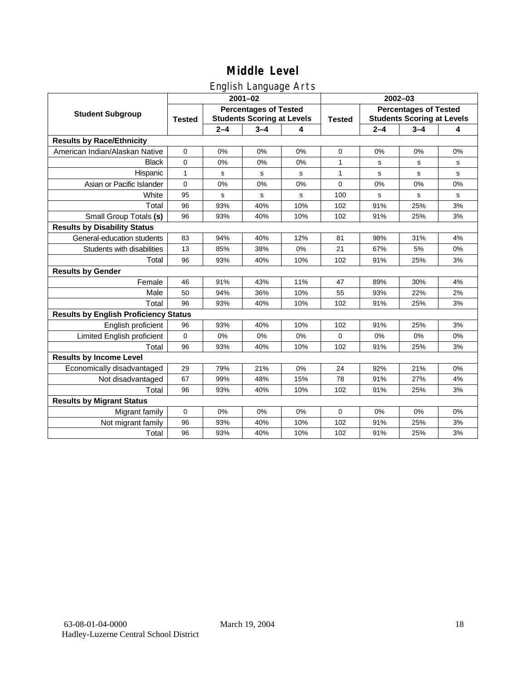## English Language Arts

|                                              | ັ<br>$2001 - 02$                                                                   |             |             |               | 2002-03                                                           |             |         |    |
|----------------------------------------------|------------------------------------------------------------------------------------|-------------|-------------|---------------|-------------------------------------------------------------------|-------------|---------|----|
| <b>Student Subgroup</b>                      | <b>Percentages of Tested</b><br><b>Students Scoring at Levels</b><br><b>Tested</b> |             |             | <b>Tested</b> | <b>Percentages of Tested</b><br><b>Students Scoring at Levels</b> |             |         |    |
|                                              |                                                                                    | $2 - 4$     | $3 - 4$     | 4             |                                                                   | $2 - 4$     | $3 - 4$ | 4  |
| <b>Results by Race/Ethnicity</b>             |                                                                                    |             |             |               |                                                                   |             |         |    |
| American Indian/Alaskan Native               | $\mathbf 0$                                                                        | 0%          | 0%          | 0%            | 0                                                                 | 0%          | 0%      | 0% |
| <b>Black</b>                                 | $\mathbf 0$                                                                        | 0%          | 0%          | 0%            | 1                                                                 | s           | s       | s  |
| Hispanic                                     | 1                                                                                  | s           | s           | s             | 1                                                                 | s           | s       | s  |
| Asian or Pacific Islander                    | $\mathbf 0$                                                                        | 0%          | 0%          | 0%            | $\mathbf 0$                                                       | 0%          | 0%      | 0% |
| White                                        | 95                                                                                 | $\mathbf s$ | $\mathbf s$ | s             | 100                                                               | $\mathbf s$ | s       | s  |
| Total                                        | 96                                                                                 | 93%         | 40%         | 10%           | 102                                                               | 91%         | 25%     | 3% |
| Small Group Totals (s)                       | 96                                                                                 | 93%         | 40%         | 10%           | 102                                                               | 91%         | 25%     | 3% |
| <b>Results by Disability Status</b>          |                                                                                    |             |             |               |                                                                   |             |         |    |
| General-education students                   | 83                                                                                 | 94%         | 40%         | 12%           | 81                                                                | 98%         | 31%     | 4% |
| Students with disabilities                   | 13                                                                                 | 85%         | 38%         | 0%            | 21                                                                | 67%         | 5%      | 0% |
| Total                                        | 96                                                                                 | 93%         | 40%         | 10%           | 102                                                               | 91%         | 25%     | 3% |
| <b>Results by Gender</b>                     |                                                                                    |             |             |               |                                                                   |             |         |    |
| Female                                       | 46                                                                                 | 91%         | 43%         | 11%           | 47                                                                | 89%         | 30%     | 4% |
| Male                                         | 50                                                                                 | 94%         | 36%         | 10%           | 55                                                                | 93%         | 22%     | 2% |
| Total                                        | 96                                                                                 | 93%         | 40%         | 10%           | 102                                                               | 91%         | 25%     | 3% |
| <b>Results by English Proficiency Status</b> |                                                                                    |             |             |               |                                                                   |             |         |    |
| English proficient                           | 96                                                                                 | 93%         | 40%         | 10%           | 102                                                               | 91%         | 25%     | 3% |
| Limited English proficient                   | $\mathbf 0$                                                                        | 0%          | 0%          | 0%            | 0                                                                 | 0%          | 0%      | 0% |
| Total                                        | 96                                                                                 | 93%         | 40%         | 10%           | 102                                                               | 91%         | 25%     | 3% |
| <b>Results by Income Level</b>               |                                                                                    |             |             |               |                                                                   |             |         |    |
| Economically disadvantaged                   | 29                                                                                 | 79%         | 21%         | 0%            | 24                                                                | 92%         | 21%     | 0% |
| Not disadvantaged                            | 67                                                                                 | 99%         | 48%         | 15%           | 78                                                                | 91%         | 27%     | 4% |
| Total                                        | 96                                                                                 | 93%         | 40%         | 10%           | 102                                                               | 91%         | 25%     | 3% |
| <b>Results by Migrant Status</b>             |                                                                                    |             |             |               |                                                                   |             |         |    |
| Migrant family                               | $\mathbf 0$                                                                        | 0%          | 0%          | 0%            | 0                                                                 | 0%          | 0%      | 0% |
| Not migrant family                           | 96                                                                                 | 93%         | 40%         | 10%           | 102                                                               | 91%         | 25%     | 3% |
| Total                                        | 96                                                                                 | 93%         | 40%         | 10%           | 102                                                               | 91%         | 25%     | 3% |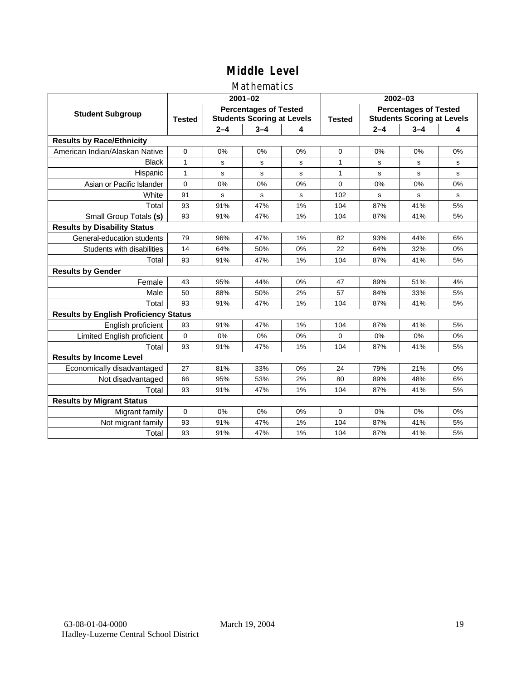### Mathematics

|                                              | $2001 - 02$                                                                        |         |             |               | $2002 - 03$                                                       |         |         |             |
|----------------------------------------------|------------------------------------------------------------------------------------|---------|-------------|---------------|-------------------------------------------------------------------|---------|---------|-------------|
| <b>Student Subgroup</b>                      | <b>Percentages of Tested</b><br><b>Students Scoring at Levels</b><br><b>Tested</b> |         |             | <b>Tested</b> | <b>Percentages of Tested</b><br><b>Students Scoring at Levels</b> |         |         |             |
|                                              |                                                                                    | $2 - 4$ | $3 - 4$     | 4             |                                                                   | $2 - 4$ | $3 - 4$ | 4           |
| <b>Results by Race/Ethnicity</b>             |                                                                                    |         |             |               |                                                                   |         |         |             |
| American Indian/Alaskan Native               | $\Omega$                                                                           | 0%      | 0%          | 0%            | $\Omega$                                                          | 0%      | 0%      | 0%          |
| <b>Black</b>                                 | 1                                                                                  | s       | s           | s             | 1                                                                 | s       | s       | s           |
| Hispanic                                     | $\mathbf{1}$                                                                       | s       | s           | s             | $\mathbf{1}$                                                      | s       | s       | s           |
| Asian or Pacific Islander                    | $\mathbf 0$                                                                        | 0%      | 0%          | 0%            | 0                                                                 | 0%      | 0%      | 0%          |
| White                                        | 91                                                                                 | s       | $\mathbf s$ | S             | 102                                                               | s       | s       | $\mathbf s$ |
| Total                                        | 93                                                                                 | 91%     | 47%         | 1%            | 104                                                               | 87%     | 41%     | 5%          |
| Small Group Totals (s)                       | 93                                                                                 | 91%     | 47%         | 1%            | 104                                                               | 87%     | 41%     | 5%          |
| <b>Results by Disability Status</b>          |                                                                                    |         |             |               |                                                                   |         |         |             |
| General-education students                   | 79                                                                                 | 96%     | 47%         | 1%            | 82                                                                | 93%     | 44%     | 6%          |
| Students with disabilities                   | 14                                                                                 | 64%     | 50%         | 0%            | 22                                                                | 64%     | 32%     | 0%          |
| Total                                        | 93                                                                                 | 91%     | 47%         | 1%            | 104                                                               | 87%     | 41%     | 5%          |
| <b>Results by Gender</b>                     |                                                                                    |         |             |               |                                                                   |         |         |             |
| Female                                       | 43                                                                                 | 95%     | 44%         | 0%            | 47                                                                | 89%     | 51%     | 4%          |
| Male                                         | 50                                                                                 | 88%     | 50%         | 2%            | 57                                                                | 84%     | 33%     | 5%          |
| Total                                        | 93                                                                                 | 91%     | 47%         | 1%            | 104                                                               | 87%     | 41%     | 5%          |
| <b>Results by English Proficiency Status</b> |                                                                                    |         |             |               |                                                                   |         |         |             |
| English proficient                           | 93                                                                                 | 91%     | 47%         | 1%            | 104                                                               | 87%     | 41%     | 5%          |
| Limited English proficient                   | $\mathbf 0$                                                                        | 0%      | 0%          | 0%            | 0                                                                 | 0%      | 0%      | 0%          |
| Total                                        | 93                                                                                 | 91%     | 47%         | 1%            | 104                                                               | 87%     | 41%     | 5%          |
| <b>Results by Income Level</b>               |                                                                                    |         |             |               |                                                                   |         |         |             |
| Economically disadvantaged                   | 27                                                                                 | 81%     | 33%         | 0%            | 24                                                                | 79%     | 21%     | 0%          |
| Not disadvantaged                            | 66                                                                                 | 95%     | 53%         | 2%            | 80                                                                | 89%     | 48%     | 6%          |
| Total                                        | 93                                                                                 | 91%     | 47%         | 1%            | 104                                                               | 87%     | 41%     | 5%          |
| <b>Results by Migrant Status</b>             |                                                                                    |         |             |               |                                                                   |         |         |             |
| Migrant family                               | 0                                                                                  | 0%      | 0%          | 0%            | $\Omega$                                                          | 0%      | 0%      | 0%          |
| Not migrant family                           | 93                                                                                 | 91%     | 47%         | 1%            | 104                                                               | 87%     | 41%     | 5%          |
| Total                                        | 93                                                                                 | 91%     | 47%         | 1%            | 104                                                               | 87%     | 41%     | 5%          |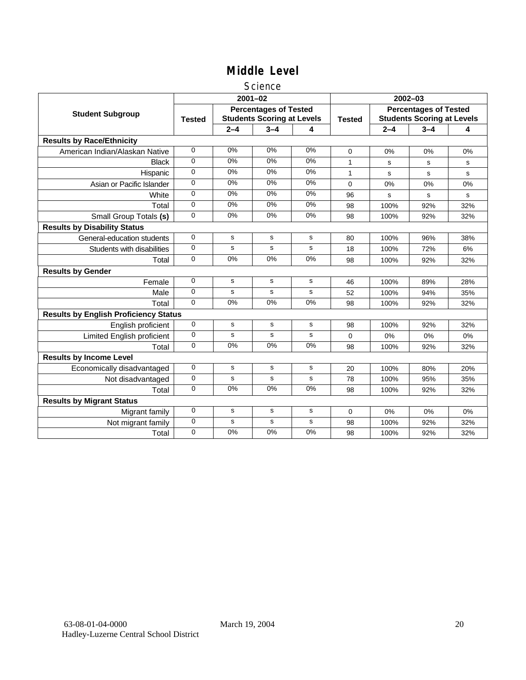### Science

|                                              |               |             | $2001 - 02$                                                       |             | $2002 - 03$   |                                                                   |         |     |  |
|----------------------------------------------|---------------|-------------|-------------------------------------------------------------------|-------------|---------------|-------------------------------------------------------------------|---------|-----|--|
| <b>Student Subgroup</b>                      | <b>Tested</b> |             | <b>Percentages of Tested</b><br><b>Students Scoring at Levels</b> |             | <b>Tested</b> | <b>Percentages of Tested</b><br><b>Students Scoring at Levels</b> |         |     |  |
|                                              |               | $2 - 4$     | $3 - 4$                                                           | 4           |               | $2 - 4$                                                           | $3 - 4$ | 4   |  |
| <b>Results by Race/Ethnicity</b>             |               |             |                                                                   |             |               |                                                                   |         |     |  |
| American Indian/Alaskan Native               | 0             | 0%          | 0%                                                                | 0%          | $\Omega$      | 0%                                                                | 0%      | 0%  |  |
| <b>Black</b>                                 | 0             | 0%          | 0%                                                                | 0%          | 1             | s                                                                 | s       | s   |  |
| Hispanic                                     | 0             | 0%          | 0%                                                                | 0%          | 1             | s                                                                 | s       | s   |  |
| Asian or Pacific Islander                    | $\Omega$      | 0%          | 0%                                                                | $0\%$       | 0             | 0%                                                                | 0%      | 0%  |  |
| White                                        | 0             | 0%          | 0%                                                                | $0\%$       | 96            | s                                                                 | s       | s   |  |
| Total                                        | $\Omega$      | 0%          | 0%                                                                | 0%          | 98            | 100%                                                              | 92%     | 32% |  |
| Small Group Totals (s)                       | 0             | 0%          | 0%                                                                | 0%          | 98            | 100%                                                              | 92%     | 32% |  |
| <b>Results by Disability Status</b>          |               |             |                                                                   |             |               |                                                                   |         |     |  |
| General-education students                   | 0             | s           | s                                                                 | $\mathbf s$ | 80            | 100%                                                              | 96%     | 38% |  |
| Students with disabilities                   | 0             | s           | s                                                                 | $\mathbf s$ | 18            | 100%                                                              | 72%     | 6%  |  |
| Total                                        | 0             | 0%          | 0%                                                                | 0%          | 98            | 100%                                                              | 92%     | 32% |  |
| <b>Results by Gender</b>                     |               |             |                                                                   |             |               |                                                                   |         |     |  |
| Female                                       | 0             | s           | s                                                                 | s           | 46            | 100%                                                              | 89%     | 28% |  |
| Male                                         | 0             | ${\tt s}$   | s                                                                 | $\mathbf s$ | 52            | 100%                                                              | 94%     | 35% |  |
| Total                                        | $\Omega$      | 0%          | 0%                                                                | 0%          | 98            | 100%                                                              | 92%     | 32% |  |
| <b>Results by English Proficiency Status</b> |               |             |                                                                   |             |               |                                                                   |         |     |  |
| English proficient                           | 0             | s           | s                                                                 | ${\bf s}$   | 98            | 100%                                                              | 92%     | 32% |  |
| Limited English proficient                   | 0             | s           | s                                                                 | s           | 0             | 0%                                                                | 0%      | 0%  |  |
| Total                                        | $\Omega$      | 0%          | 0%                                                                | 0%          | 98            | 100%                                                              | 92%     | 32% |  |
| <b>Results by Income Level</b>               |               |             |                                                                   |             |               |                                                                   |         |     |  |
| Economically disadvantaged                   | 0             | s           | s                                                                 | s           | 20            | 100%                                                              | 80%     | 20% |  |
| Not disadvantaged                            | 0             | s           | s                                                                 | s           | 78            | 100%                                                              | 95%     | 35% |  |
| Total                                        | 0             | 0%          | 0%                                                                | 0%          | 98            | 100%                                                              | 92%     | 32% |  |
| <b>Results by Migrant Status</b>             |               |             |                                                                   |             |               |                                                                   |         |     |  |
| Migrant family                               | 0             | s           | s                                                                 | s           | 0             | 0%                                                                | 0%      | 0%  |  |
| Not migrant family                           | 0             | $\mathbf s$ | $\mathbf s$                                                       | $\mathbf s$ | 98            | 100%                                                              | 92%     | 32% |  |
| Total                                        | 0             | 0%          | 0%                                                                | 0%          | 98            | 100%                                                              | 92%     | 32% |  |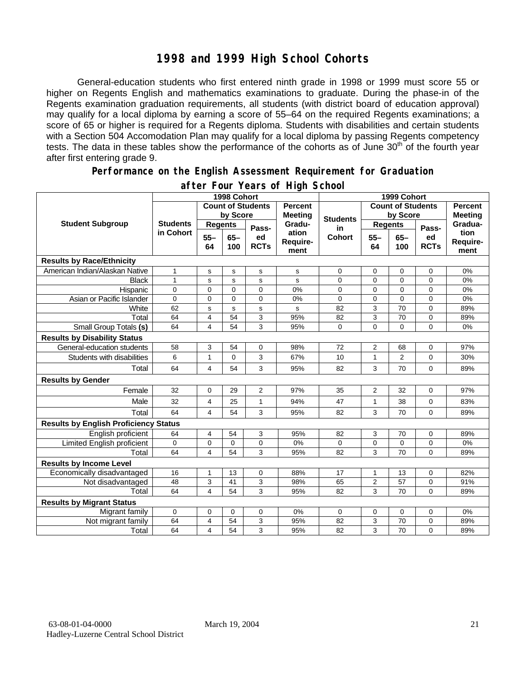### **1998 and 1999 High School Cohorts**

General-education students who first entered ninth grade in 1998 or 1999 must score 55 or higher on Regents English and mathematics examinations to graduate. During the phase-in of the Regents examination graduation requirements, all students (with district board of education approval) may qualify for a local diploma by earning a score of 55–64 on the required Regents examinations; a score of 65 or higher is required for a Regents diploma. Students with disabilities and certain students with a Section 504 Accomodation Plan may qualify for a local diploma by passing Regents competency tests. The data in these tables show the performance of the cohorts as of June 30<sup>th</sup> of the fourth year after first entering grade 9.

#### **Performance on the English Assessment Requirement for Graduation**

|                                              |                              | 1998 Cohort              |              | 1999 Cohort                      |                           |                          |                |                                  |                   |                          |
|----------------------------------------------|------------------------------|--------------------------|--------------|----------------------------------|---------------------------|--------------------------|----------------|----------------------------------|-------------------|--------------------------|
|                                              |                              | <b>Count of Students</b> |              | <b>Percent</b><br><b>Meeting</b> |                           | <b>Count of Students</b> |                | <b>Percent</b><br><b>Meeting</b> |                   |                          |
| <b>Student Subgroup</b>                      | <b>Students</b><br>in Cohort | by Score                 |              |                                  | <b>Students</b>           | by Score                 |                |                                  |                   |                          |
|                                              |                              | <b>Regents</b>           |              | Pass-                            | Gradu-                    | in                       | <b>Regents</b> |                                  | Pass-             | Gradua-                  |
|                                              |                              | $55 -$<br>64             | $65-$<br>100 | ed<br><b>RCTs</b>                | ation<br>Require-<br>ment | <b>Cohort</b>            | $55 -$<br>64   | $65 -$<br>100                    | ed<br><b>RCTs</b> | tion<br>Require-<br>ment |
| <b>Results by Race/Ethnicity</b>             |                              |                          |              |                                  |                           |                          |                |                                  |                   |                          |
| American Indian/Alaskan Native               | 1                            | s                        | s            | s                                | s                         | $\mathbf 0$              | 0              | 0                                | $\mathbf 0$       | 0%                       |
| <b>Black</b>                                 | $\mathbf{1}$                 | s                        | $\mathbf s$  | $\mathbf s$                      | s                         | 0                        | $\overline{0}$ | 0                                | $\mathbf 0$       | 0%                       |
| Hispanic                                     | $\overline{0}$               | $\overline{0}$           | $\Omega$     | $\Omega$                         | 0%                        | 0                        | $\overline{0}$ | $\overline{0}$                   | $\Omega$          | 0%                       |
| Asian or Pacific Islander                    | 0                            | 0                        | $\mathbf 0$  | $\mathbf 0$                      | 0%                        | 0                        | 0              | 0                                | $\mathbf 0$       | 0%                       |
| White                                        | 62                           | s                        | $\mathbf s$  | $\mathbf s$                      | s                         | 82                       | 3              | 70                               | $\mathbf 0$       | 89%                      |
| Total                                        | 64                           | 4                        | 54           | 3                                | 95%                       | 82                       | 3              | 70                               | $\mathbf 0$       | 89%                      |
| Small Group Totals (s)                       | 64                           | 4                        | 54           | 3                                | 95%                       | 0                        | $\overline{0}$ | $\Omega$                         | $\Omega$          | 0%                       |
| <b>Results by Disability Status</b>          |                              |                          |              |                                  |                           |                          |                |                                  |                   |                          |
| General-education students                   | 58                           | 3                        | 54           | 0                                | 98%                       | 72                       | 2              | 68                               | 0                 | 97%                      |
| Students with disabilities                   | 6                            | 1                        | $\mathbf 0$  | 3                                | 67%                       | 10                       | $\mathbf{1}$   | $\overline{2}$                   | 0                 | 30%                      |
| Total                                        | 64                           | 4                        | 54           | 3                                | 95%                       | 82                       | 3              | 70                               | 0                 | 89%                      |
| <b>Results by Gender</b>                     |                              |                          |              |                                  |                           |                          |                |                                  |                   |                          |
| Female                                       | 32                           | 0                        | 29           | 2                                | 97%                       | 35                       | 2              | 32                               | $\mathbf 0$       | 97%                      |
| Male                                         | 32                           | $\overline{4}$           | 25           | $\mathbf{1}$                     | 94%                       | 47                       | 1              | 38                               | $\Omega$          | 83%                      |
| Total                                        | 64                           | 4                        | 54           | 3                                | 95%                       | 82                       | 3              | 70                               | $\Omega$          | 89%                      |
| <b>Results by English Proficiency Status</b> |                              |                          |              |                                  |                           |                          |                |                                  |                   |                          |
| English proficient                           | 64                           | 4                        | 54           | 3                                | 95%                       | 82                       | 3              | 70                               | $\mathbf 0$       | 89%                      |
| Limited English proficient                   | 0                            | 0                        | 0            | 0                                | 0%                        | 0                        | 0              | 0                                | 0                 | 0%                       |
| Total                                        | 64                           | 4                        | 54           | 3                                | 95%                       | 82                       | 3              | 70                               | $\Omega$          | 89%                      |
| <b>Results by Income Level</b>               |                              |                          |              |                                  |                           |                          |                |                                  |                   |                          |
| Economically disadvantaged                   | 16                           | $\mathbf{1}$             | 13           | $\mathbf 0$                      | 88%                       | 17                       | 1              | 13                               | $\mathbf 0$       | 82%                      |
| Not disadvantaged                            | 48                           | 3                        | 41           | 3                                | 98%                       | 65                       | $\overline{c}$ | 57                               | 0                 | 91%                      |
| Total                                        | 64                           | 4                        | 54           | 3                                | 95%                       | 82                       | 3              | 70                               | 0                 | 89%                      |
| <b>Results by Migrant Status</b>             |                              |                          |              |                                  |                           |                          |                |                                  |                   |                          |
| Migrant family                               | $\mathbf 0$                  | 0                        | 0            | $\mathbf 0$                      | 0%                        | 0                        | 0              | 0                                | $\mathbf 0$       | 0%                       |
| Not migrant family                           | 64                           | 4                        | 54           | 3                                | 95%                       | 82                       | 3              | 70                               | 0                 | 89%                      |
| Total                                        | 64                           | 4                        | 54           | 3                                | 95%                       | 82                       | 3              | 70                               | $\overline{0}$    | 89%                      |

### **after Four Years of High School**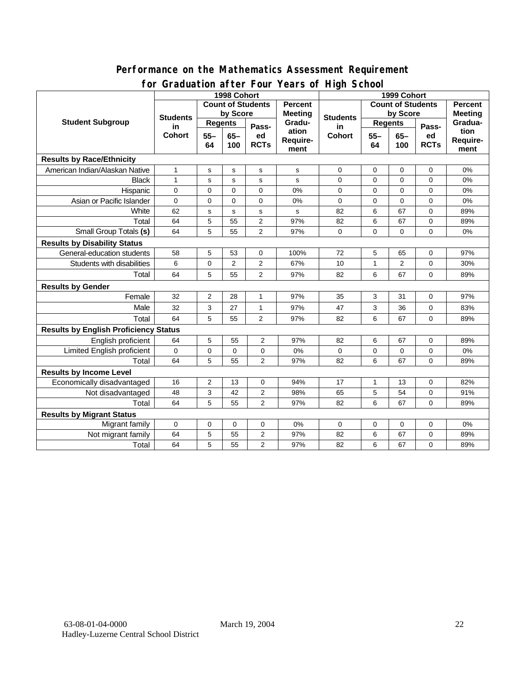### **Performance on the Mathematics Assessment Requirement for Graduation after Four Years of High School**

|                                              | $2.501 + 0.01$<br>1998 Cohort |                |                | $1041301 \cdot 10911001$<br>1999 Cohort |                           |                          |                |                |                   |                          |
|----------------------------------------------|-------------------------------|----------------|----------------|-----------------------------------------|---------------------------|--------------------------|----------------|----------------|-------------------|--------------------------|
|                                              | <b>Count of Students</b>      |                |                | <b>Percent</b>                          |                           | <b>Count of Students</b> |                |                | <b>Percent</b>    |                          |
|                                              | <b>Students</b>               | by Score       |                |                                         | <b>Meeting</b>            | <b>Students</b>          | by Score       |                | <b>Meeting</b>    |                          |
| <b>Student Subgroup</b>                      | in<br><b>Cohort</b>           | <b>Regents</b> |                | Pass-                                   | Gradu-                    | in                       | <b>Regents</b> |                | Pass-             | Gradua-                  |
|                                              |                               | $55 -$<br>64   | $65 -$<br>100  | ed<br><b>RCTs</b>                       | ation<br>Require-<br>ment | <b>Cohort</b>            | $55 -$<br>64   | $65 -$<br>100  | ed<br><b>RCTs</b> | tion<br>Require-<br>ment |
| <b>Results by Race/Ethnicity</b>             |                               |                |                |                                         |                           |                          |                |                |                   |                          |
| American Indian/Alaskan Native               | $\mathbf{1}$                  | s              | s              | $\mathbf S$                             | s                         | $\mathbf 0$              | $\mathbf 0$    | $\mathbf 0$    | 0                 | 0%                       |
| <b>Black</b>                                 | $\mathbf{1}$                  | s              | $\mathbf S$    | s                                       | s                         | 0                        | $\mathbf 0$    | $\mathbf 0$    | 0                 | 0%                       |
| Hispanic                                     | $\mathbf 0$                   | $\mathbf 0$    | $\mathbf 0$    | $\mathbf 0$                             | 0%                        | $\mathbf 0$              | $\mathbf 0$    | $\mathbf 0$    | 0                 | 0%                       |
| Asian or Pacific Islander                    | $\mathbf 0$                   | $\mathbf 0$    | $\mathbf 0$    | $\mathbf 0$                             | 0%                        | 0                        | $\mathbf 0$    | 0              | 0                 | 0%                       |
| White                                        | 62                            | s              | s              | s                                       | s                         | 82                       | 6              | 67             | $\mathbf 0$       | 89%                      |
| Total                                        | 64                            | 5              | 55             | $\overline{2}$                          | 97%                       | 82                       | 6              | 67             | 0                 | 89%                      |
| Small Group Totals (s)                       | 64                            | 5              | 55             | $\overline{2}$                          | 97%                       | $\mathbf 0$              | $\Omega$       | $\Omega$       | $\Omega$          | 0%                       |
| <b>Results by Disability Status</b>          |                               |                |                |                                         |                           |                          |                |                |                   |                          |
| General-education students                   | 58                            | 5              | 53             | 0                                       | 100%                      | 72                       | 5              | 65             | 0                 | 97%                      |
| Students with disabilities                   | 6                             | $\pmb{0}$      | $\overline{2}$ | $\overline{2}$                          | 67%                       | 10                       | 1              | $\overline{2}$ | 0                 | 30%                      |
| Total                                        | 64                            | 5              | 55             | $\overline{2}$                          | 97%                       | 82                       | 6              | 67             | $\mathbf 0$       | 89%                      |
| <b>Results by Gender</b>                     |                               |                |                |                                         |                           |                          |                |                |                   |                          |
| Female                                       | 32                            | 2              | 28             | $\mathbf{1}$                            | 97%                       | 35                       | 3              | 31             | 0                 | 97%                      |
| Male                                         | 32                            | 3              | 27             | $\mathbf{1}$                            | 97%                       | 47                       | 3              | 36             | 0                 | 83%                      |
| Total                                        | 64                            | 5              | 55             | $\overline{2}$                          | 97%                       | 82                       | 6              | 67             | 0                 | 89%                      |
| <b>Results by English Proficiency Status</b> |                               |                |                |                                         |                           |                          |                |                |                   |                          |
| English proficient                           | 64                            | 5              | 55             | 2                                       | 97%                       | 82                       | 6              | 67             | 0                 | 89%                      |
| Limited English proficient                   | 0                             | $\pmb{0}$      | 0              | 0                                       | 0%                        | 0                        | 0              | 0              | 0                 | 0%                       |
| Total                                        | 64                            | 5              | 55             | $\overline{2}$                          | 97%                       | 82                       | 6              | 67             | $\Omega$          | 89%                      |
| <b>Results by Income Level</b>               |                               |                |                |                                         |                           |                          |                |                |                   |                          |
| Economically disadvantaged                   | 16                            | 2              | 13             | 0                                       | 94%                       | 17                       | 1              | 13             | $\mathbf 0$       | 82%                      |
| Not disadvantaged                            | 48                            | 3              | 42             | 2                                       | 98%                       | 65                       | 5              | 54             | $\mathbf 0$       | 91%                      |
| Total                                        | 64                            | 5              | 55             | $\overline{2}$                          | 97%                       | 82                       | 6              | 67             | 0                 | 89%                      |
| <b>Results by Migrant Status</b>             |                               |                |                |                                         |                           |                          |                |                |                   |                          |
| Migrant family                               | $\mathbf 0$                   | 0              | 0              | 0                                       | 0%                        | 0                        | 0              | $\mathbf 0$    | 0                 | 0%                       |
| Not migrant family                           | 64                            | 5              | 55             | $\overline{2}$                          | 97%                       | 82                       | 6              | 67             | 0                 | 89%                      |
| Total                                        | 64                            | 5              | 55             | $\overline{2}$                          | 97%                       | 82                       | 6              | 67             | $\mathbf 0$       | 89%                      |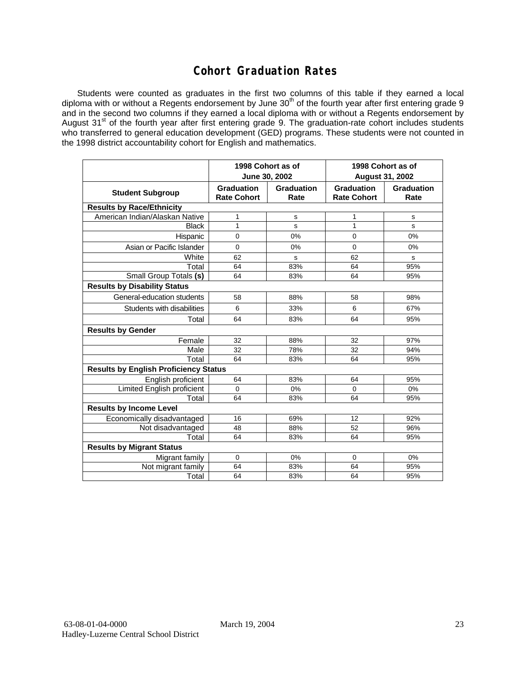## **Cohort Graduation Rates**

Students were counted as graduates in the first two columns of this table if they earned a local diploma with or without a Regents endorsement by June 30<sup>th</sup> of the fourth year after first entering grade 9 and in the second two columns if they earned a local diploma with or without a Regents endorsement by August 31<sup>st</sup> of the fourth year after first entering grade 9. The graduation-rate cohort includes students who transferred to general education development (GED) programs. These students were not counted in the 1998 district accountability cohort for English and mathematics.

|                                              |                                         | 1998 Cohort as of<br>June 30, 2002 | 1998 Cohort as of<br><b>August 31, 2002</b> |                    |  |  |  |  |
|----------------------------------------------|-----------------------------------------|------------------------------------|---------------------------------------------|--------------------|--|--|--|--|
| <b>Student Subgroup</b>                      | <b>Graduation</b><br><b>Rate Cohort</b> | Graduation<br>Rate                 | <b>Graduation</b><br><b>Rate Cohort</b>     | Graduation<br>Rate |  |  |  |  |
| <b>Results by Race/Ethnicity</b>             |                                         |                                    |                                             |                    |  |  |  |  |
| American Indian/Alaskan Native               | 1                                       | s                                  | 1                                           | s                  |  |  |  |  |
| <b>Black</b>                                 | 1                                       | s                                  | 1                                           | s                  |  |  |  |  |
| Hispanic                                     | $\mathbf 0$                             | 0%                                 | $\mathbf 0$                                 | 0%                 |  |  |  |  |
| Asian or Pacific Islander                    | $\mathbf 0$                             | 0%                                 | $\mathbf 0$                                 | $0\%$              |  |  |  |  |
| White                                        | 62                                      | s                                  | 62                                          | s                  |  |  |  |  |
| Total                                        | 64                                      | 83%                                | 64                                          | 95%                |  |  |  |  |
| Small Group Totals (s)                       | 64                                      | 83%                                | 64                                          | 95%                |  |  |  |  |
| <b>Results by Disability Status</b>          |                                         |                                    |                                             |                    |  |  |  |  |
| General-education students                   | 58                                      | 88%                                | 58                                          | 98%                |  |  |  |  |
| Students with disabilities                   | 6                                       | 33%                                | 6                                           | 67%                |  |  |  |  |
| Total                                        | 64                                      | 83%                                | 64                                          | 95%                |  |  |  |  |
| <b>Results by Gender</b>                     |                                         |                                    |                                             |                    |  |  |  |  |
| Female                                       | 32                                      | 88%                                | 32                                          | 97%                |  |  |  |  |
| Male                                         | 32                                      | 78%                                | 32                                          | 94%                |  |  |  |  |
| Total                                        | 64                                      | 83%                                | 64                                          | 95%                |  |  |  |  |
| <b>Results by English Proficiency Status</b> |                                         |                                    |                                             |                    |  |  |  |  |
| English proficient                           | 64                                      | 83%                                | 64                                          | 95%                |  |  |  |  |
| <b>Limited English proficient</b>            | 0                                       | 0%                                 | 0                                           | 0%                 |  |  |  |  |
| Total                                        | 64                                      | 83%                                | 64                                          | 95%                |  |  |  |  |
| <b>Results by Income Level</b>               |                                         |                                    |                                             |                    |  |  |  |  |
| Economically disadvantaged                   | 16                                      | 69%                                | 12                                          | 92%                |  |  |  |  |
| Not disadvantaged                            | 48                                      | 88%                                | 52                                          | 96%                |  |  |  |  |
| Total                                        | 64                                      | 83%                                | 64                                          | 95%                |  |  |  |  |
| <b>Results by Migrant Status</b>             |                                         |                                    |                                             |                    |  |  |  |  |
| Migrant family                               | $\mathbf 0$                             | 0%                                 | 0                                           | 0%                 |  |  |  |  |
| Not migrant family                           | 64                                      | 83%                                | 64                                          | 95%                |  |  |  |  |
| Total                                        | 64                                      | 83%                                | 64                                          | 95%                |  |  |  |  |